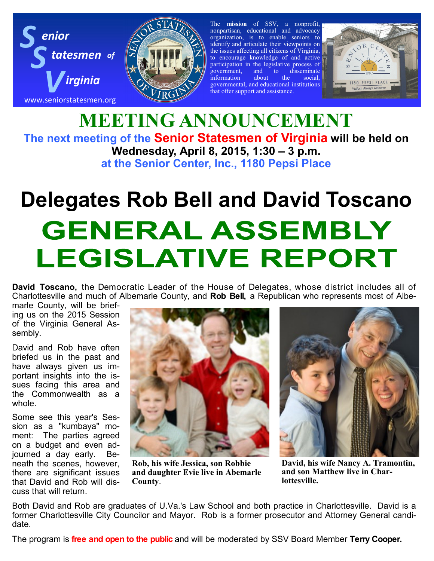



The **mission** of SSV, a nonprofit, nonpartisan, educational and advocacy organization, is to enable seniors to identify and articulate their viewpoints on the issues affecting all citizens of Virginia, to encourage knowledge of and active participation in the legislative process of government, and to disseminate government, and to disseminate information about the social, governmental, and educational institutions that offer support and assistance.



## **MEETING ANNOUNCEMENT The next meeting of the Senior Statesmen of Virginia will be held on Wednesday, April 8, 2015, 1:30 – 3 p.m. at the Senior Center, Inc., 1180 Pepsi Place**

## **Delegates Rob Bell and David Toscano GENERAL ASSEMBLY LEGISLATIVE REPORT**

**David Toscano,** the Democratic Leader of the House of Delegates, whose district includes all of Charlottesville and much of Albemarle County, and **Rob Bell,** a Republican who represents most of Albe-

marle County, will be briefing us on the 2015 Session of the Virginia General Assembly.

David and Rob have often briefed us in the past and have always given us important insights into the issues facing this area and the Commonwealth as a whole.

Some see this year's Session as a "kumbaya" moment: The parties agreed on a budget and even adjourned a day early. Beneath the scenes, however, there are significant issues that David and Rob will discuss that will return.



**Rob, his wife Jessica, son Robbie and daughter Evie live in Abemarle County**.



**David, his wife Nancy A. Tramontin, and son Matthew live in Charlottesville.** 

Both David and Rob are graduates of U.Va.'s Law School and both practice in Charlottesville. David is a former Charlottesville City Councilor and Mayor. Rob is a former prosecutor and Attorney General candidate.

The program is **free and open to the public** and will be moderated by SSV Board Member **Terry Cooper.**